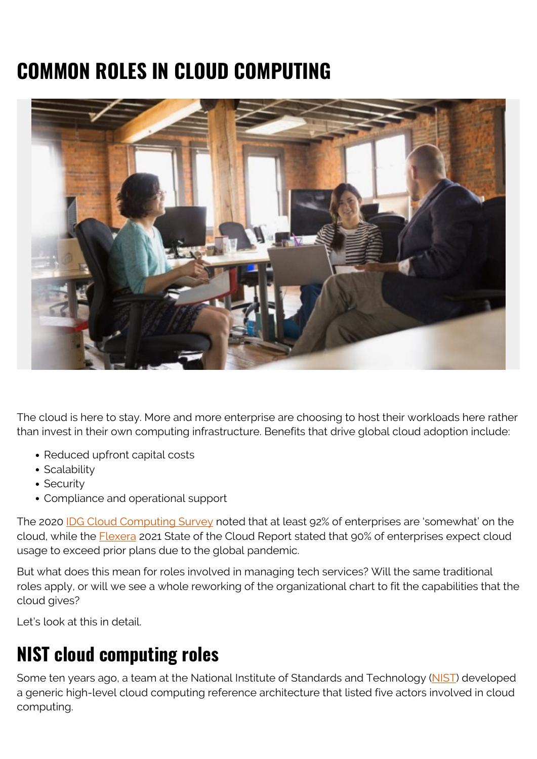# **COMMON ROLES IN CLOUD COMPUTING**



The cloud is here to stay. More and more enterprise are choosing to host their workloads here rather than invest in their own computing infrastructure. Benefits that drive global cloud adoption include:

- Reduced upfront capital costs
- Scalability
- Security
- Compliance and operational support

The 2020 [IDG Cloud Computing Survey](https://www.idg.com/tools-for-marketers/2020-cloud-computing-study/) noted that at least 92% of enterprises are 'somewhat' on the cloud, while the **[Flexera](https://info.flexera.com/CM-REPORT-State-of-the-Cloud)** 2021 State of the Cloud Report stated that 90% of enterprises expect cloud usage to exceed prior plans due to the global pandemic.

But what does this mean for roles involved in managing tech services? Will the same traditional roles apply, or will we see a whole reworking of the organizational chart to fit the capabilities that the cloud gives?

Let's look at this in detail.

# **NIST cloud computing roles**

Some ten years ago, a team at the National Institute of Standards and Technology [\(NIST\)](https://www.nist.gov/publications/nist-cloud-computing-reference-architecture) developed a generic high-level cloud computing reference architecture that listed five actors involved in cloud computing.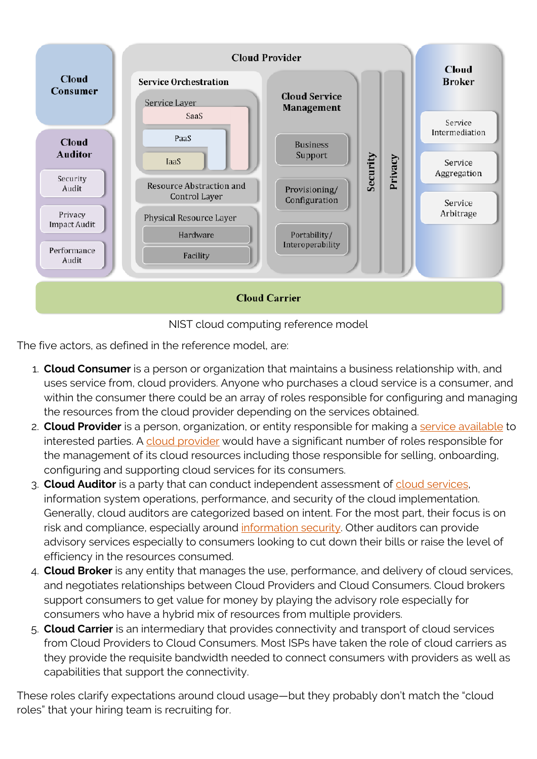



The five actors, as defined in the reference model, are:

- 1. **Cloud Consumer** is a person or organization that maintains a business relationship with, and uses service from, cloud providers. Anyone who purchases a cloud service is a consumer, and within the consumer there could be an array of roles responsible for configuring and managing the resources from the cloud provider depending on the services obtained.
- 2. **Cloud Provider** is a person, organization, or entity responsible for making a [service available](https://blogs.bmc.com/blogs/service-availability-calculation-metrics/) to interested parties. A [cloud provider](https://blogs.bmc.com/blogs/aws-vs-azure-vs-google-cloud-platforms/) would have a significant number of roles responsible for the management of its cloud resources including those responsible for selling, onboarding, configuring and supporting cloud services for its consumers.
- 3. **Cloud Auditor** is a party that can conduct independent assessment of [cloud services](https://blogs.bmc.com/blogs/public-private-hybrid-cloud/), information system operations, performance, and security of the cloud implementation. Generally, cloud auditors are categorized based on intent. For the most part, their focus is on risk and compliance, especially around [information security.](https://blogs.bmc.com/blogs/infosec-information-security/) Other auditors can provide advisory services especially to consumers looking to cut down their bills or raise the level of efficiency in the resources consumed.
- 4. **Cloud Broker** is any entity that manages the use, performance, and delivery of cloud services, and negotiates relationships between Cloud Providers and Cloud Consumers. Cloud brokers support consumers to get value for money by playing the advisory role especially for consumers who have a hybrid mix of resources from multiple providers.
- 5. **Cloud Carrier** is an intermediary that provides connectivity and transport of cloud services from Cloud Providers to Cloud Consumers. Most ISPs have taken the role of cloud carriers as they provide the requisite bandwidth needed to connect consumers with providers as well as capabilities that support the connectivity.

These roles clarify expectations around cloud usage—but they probably don't match the "cloud roles" that your hiring team is recruiting for.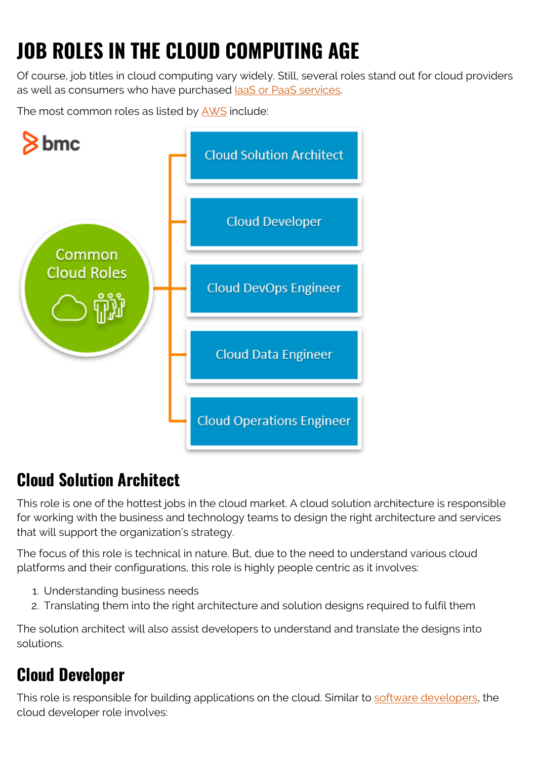# **JOB ROLES IN THE CLOUD COMPUTING AGE**

Of course, job titles in cloud computing vary widely. Still, several roles stand out for cloud providers as well as consumers who have purchased laaS or PaaS services.

The most common roles as listed by **[AWS](https://aws.amazon.com/training/learn-about/)** include:



### **Cloud Solution Architect**

This role is one of the hottest jobs in the cloud market. A cloud solution architecture is responsible for working with the business and technology teams to design the right architecture and services that will support the organization's strategy.

The focus of this role is technical in nature. But, due to the need to understand various cloud platforms and their configurations, this role is highly people centric as it involves:

- 1. Understanding business needs
- 2. Translating them into the right architecture and solution designs required to fulfil them

The solution architect will also assist developers to understand and translate the designs into solutions.

#### **Cloud Developer**

This role is responsible for building applications on the cloud. Similar to [software developers,](https://blogs.bmc.com/blogs/application-developer-roles-responsibilities/) the cloud developer role involves: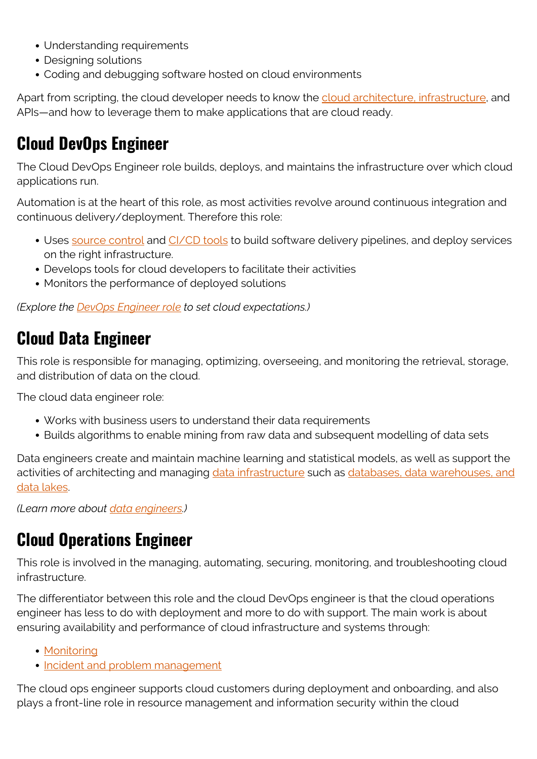- Understanding requirements
- Designing solutions
- Coding and debugging software hosted on cloud environments

Apart from scripting, the cloud developer needs to know the [cloud architecture, infrastructure,](https://blogs.bmc.com/blogs/cloud-infrastructure/) and APIs—and how to leverage them to make applications that are cloud ready.

#### **Cloud DevOps Engineer**

The Cloud DevOps Engineer role builds, deploys, and maintains the infrastructure over which cloud applications run.

Automation is at the heart of this role, as most activities revolve around continuous integration and continuous delivery/deployment. Therefore this role:

- Uses [source control](https://blogs.bmc.com/blogs/devops-source-version-control/) and [CI/CD tools](https://blogs.bmc.com/blogs/ci-cd-pipeline-setup/) to build software delivery pipelines, and deploy services on the right infrastructure.
- Develops tools for cloud developers to facilitate their activities
- Monitors the performance of deployed solutions

*(Explore the [DevOps Engineer role](https://blogs.bmc.com/blogs/devops-engineer-roles-and-responsibilities/) to set cloud expectations.)*

#### **Cloud Data Engineer**

This role is responsible for managing, optimizing, overseeing, and monitoring the retrieval, storage, and distribution of data on the cloud.

The cloud data engineer role:

- Works with business users to understand their data requirements
- Builds algorithms to enable mining from raw data and subsequent modelling of data sets

Data engineers create and maintain machine learning and statistical models, as well as support the activities of architecting and managing [data infrastructure](https://blogs.bmc.com/blogs/data-architecture/) such as [databases, data warehouses, and](https://blogs.bmc.com/blogs/data-lake-vs-data-warehouse-vs-database-whats-the-difference/) [data lakes](https://blogs.bmc.com/blogs/data-lake-vs-data-warehouse-vs-database-whats-the-difference/).

*(Learn more about [data engineers](https://blogs.bmc.com/blogs/data-engineer-vs-data-scientist/).)*

#### **Cloud Operations Engineer**

This role is involved in the managing, automating, securing, monitoring, and troubleshooting cloud infrastructure.

The differentiator between this role and the cloud DevOps engineer is that the cloud operations engineer has less to do with deployment and more to do with support. The main work is about ensuring availability and performance of cloud infrastructure and systems through:

- [Monitoring](https://blogs.bmc.com/blogs/cloud-monitoring/)
- [Incident and problem management](https://blogs.bmc.com/blogs/incident-management-vs-problem-management-whats-the-difference/)

The cloud ops engineer supports cloud customers during deployment and onboarding, and also plays a front-line role in resource management and information security within the cloud